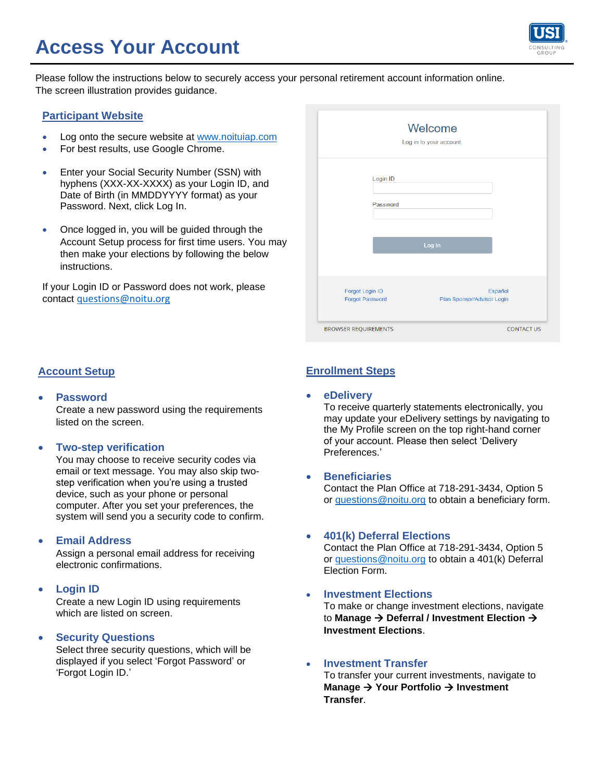# **Access Your Account**



Please follow the instructions below to securely access your personal retirement account information online. The screen illustration provides guidance.

#### **Participant Website**

- Log onto the secure website at [www.noituiap.com](http://www.noituiap.com/)
- For best results, use Google Chrome.
- Enter your Social Security Number (SSN) with hyphens (XXX-XX-XXXX) as your Login ID, and Date of Birth (in MMDDYYYY format) as your Password. Next, click Log In.
- Once logged in, you will be guided through the Account Setup process for first time users. You may then make your elections by following the below instructions.

If your Login ID or Password does not work, please contact [questions@noitu.org](mailto:questions@noitu.org)

#### **Account Setup**

• **Password**

Create a new password using the requirements listed on the screen.

#### • **Two-step verification**

You may choose to receive security codes via email or text message. You may also skip twostep verification when you're using a trusted device, such as your phone or personal computer. After you set your preferences, the system will send you a security code to confirm.

#### • **Email Address**

Assign a personal email address for receiving electronic confirmations.

#### • **Login ID**

Create a new Login ID using requirements which are listed on screen.

#### • **Security Questions**

Select three security questions, which will be displayed if you select 'Forgot Password' or 'Forgot Login ID.'

|                                    | Welcome<br>Log in to your account.    |
|------------------------------------|---------------------------------------|
| Login ID                           |                                       |
| Password                           |                                       |
|                                    | Log In                                |
|                                    |                                       |
| Forgot Login ID<br>Forgot Password | Español<br>Plan Sponsor/Advisor Login |
| <b>BROWSER REQUIREMENTS</b>        | <b>CONTACT US</b>                     |

### **Enrollment Steps**

• **eDelivery**

To receive quarterly statements electronically, you may update your eDelivery settings by navigating to the My Profile screen on the top right-hand corner of your account. Please then select 'Delivery Preferences.'

#### • **Beneficiaries**

Contact the Plan Office at 718-291-3434, Option 5 or [questions@noitu.org](mailto:questions@noitu.org) to obtain a beneficiary form.

• **401(k) Deferral Elections** 

Contact the Plan Office at 718-291-3434, Option 5 or [questions@noitu.org](mailto:questions@noitu.org) to obtain a 401(k) Deferral Election Form.

• **Investment Elections**  To make or change investment elections, navigate to **Manage** → **Deferral / Investment Election** →

#### • **Investment Transfer**

**Investment Elections**.

To transfer your current investments, navigate to **Manage** → **Your Portfolio** → **Investment Transfer**.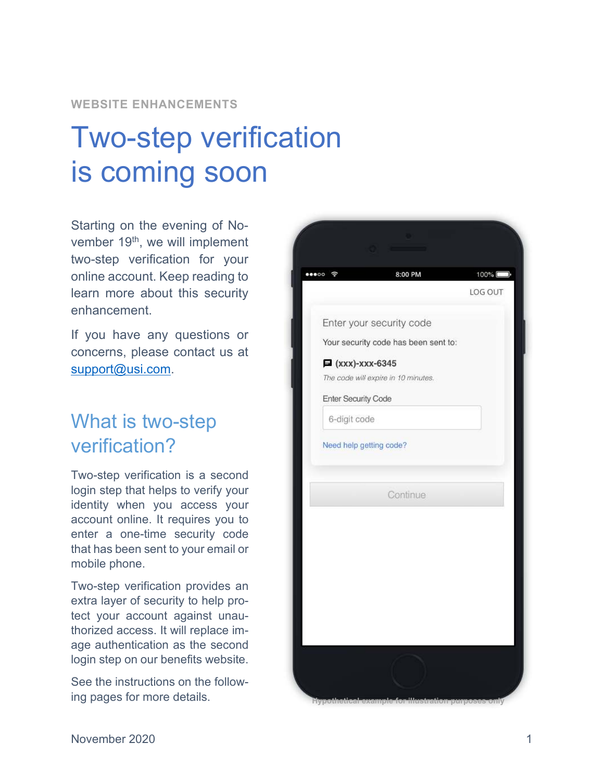## **WEBSITE ENHANCEMENTS**

# Two-step verification is coming soon

Starting on the evening of November 19<sup>th</sup>, we will implement two-step verification for your online account. Keep reading to learn more about this security enhancement.

If you have any questions or concerns, please contact us at support@usi.com.

# What is two-step verification?

Two-step verification is a second login step that helps to verify your identity when you access your account online. It requires you to enter a one-time security code that has been sent to your email or mobile phone.

Two-step verification provides an extra layer of security to help protect your account against unauthorized access. It will replace image authentication as the second login step on our benefits website.

See the instructions on the following pages for more details.

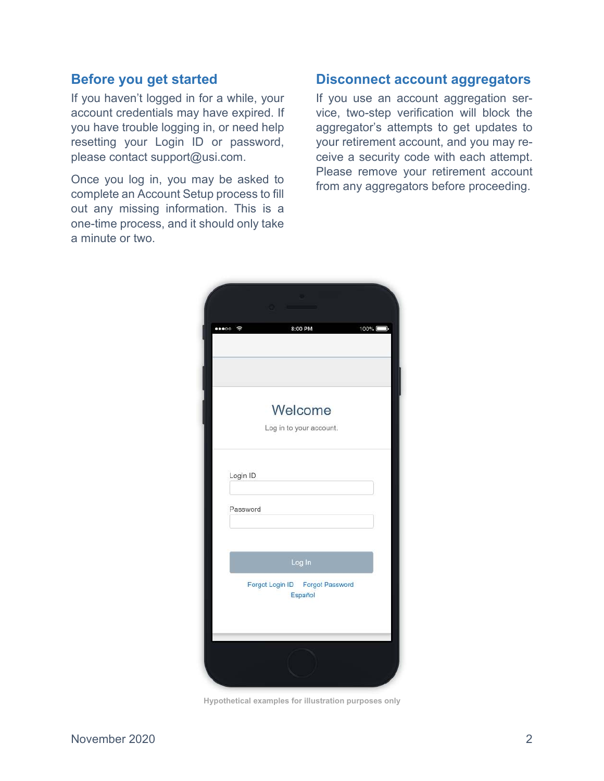# **Before you get started**

If you haven't logged in for a while, your account credentials may have expired. If you have trouble logging in, or need help resetting your Login ID or password, please contact support@usi.com.

Once you log in, you may be asked to complete an Account Setup process to fill out any missing information. This is a one-time process, and it should only take a minute or two.

# **Disconnect account aggregators**

If you use an account aggregation service, two-step verification will block the aggregator's attempts to get updates to your retirement account, and you may receive a security code with each attempt. Please remove your retirement account from any aggregators before proceeding.

| $\bullet\bullet\circ\circ$ $\approx$ | 8:00 PM                                              | 100% |
|--------------------------------------|------------------------------------------------------|------|
|                                      |                                                      |      |
|                                      |                                                      |      |
|                                      | Welcome                                              |      |
|                                      | Log in to your account.                              |      |
| Password                             |                                                      |      |
|                                      | Log In<br>Forgot Login ID Forgot Password<br>Español |      |
|                                      |                                                      |      |

**Hypothetical examples for illustration purposes only**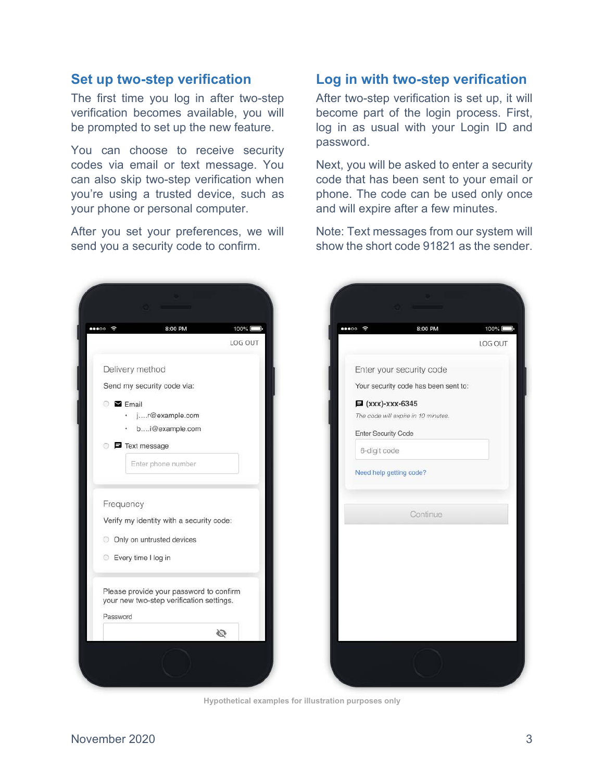# **Set up two-step verification**

The first time you log in after two-step verification becomes available, you will be prompted to set up the new feature.

You can choose to receive security codes via email or text message. You can also skip two-step verification when you're using a trusted device, such as your phone or personal computer.

After you set your preferences, we will send you a security code to confirm.

# **Log in with two-step verification**

After two-step verification is set up, it will become part of the login process. First, log in as usual with your Login ID and password.

Next, you will be asked to enter a security code that has been sent to your email or phone. The code can be used only once and will expire after a few minutes.

Note: Text messages from our system will show the short code 91821 as the sender.



**Hypothetical examples for illustration purposes only**